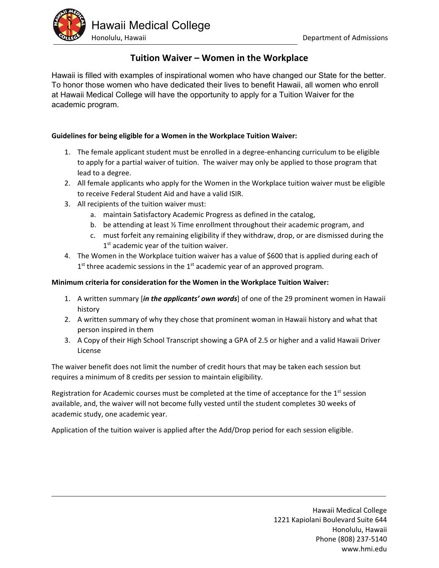

## **Tuition Waiver – Women in the Workplace**

Hawaii is filled with examples of inspirational women who have changed our State for the better. To honor those women who have dedicated their lives to benefit Hawaii, all women who enroll at Hawaii Medical College will have the opportunity to apply for a Tuition Waiver for the academic program.

### **Guidelines for being eligible for a Women in the Workplace Tuition Waiver:**

- 1. The female applicant student must be enrolled in a degree‐enhancing curriculum to be eligible to apply for a partial waiver of tuition. The waiver may only be applied to those program that lead to a degree.
- 2. All female applicants who apply for the Women in the Workplace tuition waiver must be eligible to receive Federal Student Aid and have a valid ISIR.
- 3. All recipients of the tuition waiver must:
	- a. maintain Satisfactory Academic Progress as defined in the catalog,
	- b. be attending at least ½ Time enrollment throughout their academic program, and
	- c. must forfeit any remaining eligibility if they withdraw, drop, or are dismissed during the 1<sup>st</sup> academic year of the tuition waiver.
- 4. The Women in the Workplace tuition waiver has a value of \$600 that is applied during each of  $1<sup>st</sup>$  three academic sessions in the  $1<sup>st</sup>$  academic year of an approved program.

#### **Minimum criteria for consideration for the Women in the Workplace Tuition Waiver:**

- 1. A written summary [*in the applicants' own words*] of one of the 29 prominent women in Hawaii history
- 2. A written summary of why they chose that prominent woman in Hawaii history and what that person inspired in them
- 3. A Copy of their High School Transcript showing a GPA of 2.5 or higher and a valid Hawaii Driver License

The waiver benefit does not limit the number of credit hours that may be taken each session but requires a minimum of 8 credits per session to maintain eligibility.

Registration for Academic courses must be completed at the time of acceptance for the  $1<sup>st</sup>$  session available, and, the waiver will not become fully vested until the student completes 30 weeks of academic study, one academic year.

Application of the tuition waiver is applied after the Add/Drop period for each session eligible.

Hawaii Medical College 1221 Kapiolani Boulevard Suite 644 Honolulu, Hawaii Phone (808) 237‐5140 www.hmi.edu